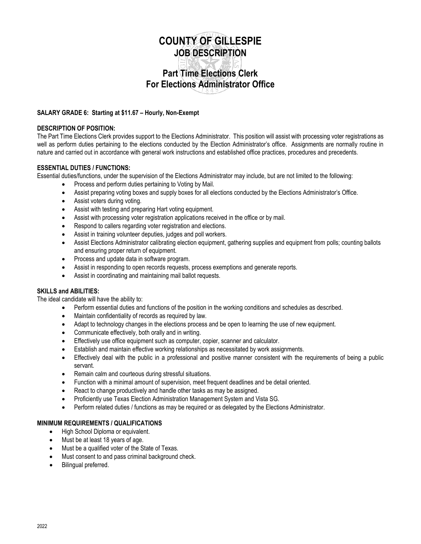# **COUNTY OF GILLESPIE JOB DESCRIPTION**

# **Part Time Elections Clerk For Elections Administrator Office**

#### **SALARY GRADE 6: Starting at \$11.67 – Hourly, Non-Exempt**

#### **DESCRIPTION OF POSITION:**

The Part Time Elections Clerk provides support to the Elections Administrator. This position will assist with processing voter registrations as well as perform duties pertaining to the elections conducted by the Election Administrator's office. Assignments are normally routine in nature and carried out in accordance with general work instructions and established office practices, procedures and precedents.

# **ESSENTIAL DUTIES / FUNCTIONS:**

Essential duties/functions, under the supervision of the Elections Administrator may include, but are not limited to the following:

- Process and perform duties pertaining to Voting by Mail.
- Assist preparing voting boxes and supply boxes for all elections conducted by the Elections Administrator's Office.
- Assist voters during voting.
- Assist with testing and preparing Hart voting equipment.
- Assist with processing voter registration applications received in the office or by mail.
- Respond to callers regarding voter registration and elections.
- Assist in training volunteer deputies, judges and poll workers.
- Assist Elections Administrator calibrating election equipment, gathering supplies and equipment from polls; counting ballots and ensuring proper return of equipment.
- Process and update data in software program.
- Assist in responding to open records requests, process exemptions and generate reports.
- Assist in coordinating and maintaining mail ballot requests.

# **SKILLS and ABILITIES:**

The ideal candidate will have the ability to:

- Perform essential duties and functions of the position in the working conditions and schedules as described.
- Maintain confidentiality of records as required by law.
- Adapt to technology changes in the elections process and be open to learning the use of new equipment.
- Communicate effectively, both orally and in writing.
- Effectively use office equipment such as computer, copier, scanner and calculator.
- Establish and maintain effective working relationships as necessitated by work assignments.
- Effectively deal with the public in a professional and positive manner consistent with the requirements of being a public servant.
- Remain calm and courteous during stressful situations.
- Function with a minimal amount of supervision, meet frequent deadlines and be detail oriented.
- React to change productively and handle other tasks as may be assigned.
- Proficiently use Texas Election Administration Management System and Vista SG.
- Perform related duties / functions as may be required or as delegated by the Elections Administrator.

# **MINIMUM REQUIREMENTS / QUALIFICATIONS**

- High School Diploma or equivalent.
- Must be at least 18 years of age.
- Must be a qualified voter of the State of Texas.
- Must consent to and pass criminal background check.
- Bilingual preferred.